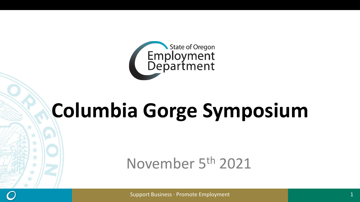

# **Columbia Gorge Symposium**

## November 5th 2021

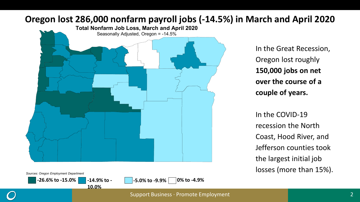#### **Oregon lost 286,000 nonfarm payroll jobs (-14.5%) in March and April 2020**



In the Great Recession, Oregon lost roughly **150,000 jobs on net over the course of a couple of years.**

In the COVID-19 recession the North Coast, Hood River, and Jefferson counties took the largest initial job losses (more than 15%).



**-26.6% to -15.0% -14.9% to - -5.0% to -9.9% 0% to -4.9%**

**10.0%**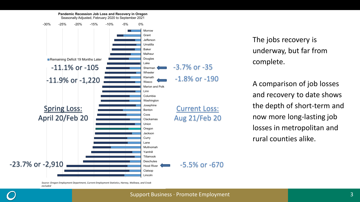

The jobs recovery is underway, but far from complete.

A comparison of job losses and recovery to date shows the depth of short-term and now more long-lasting job losses in metropolitan and rural counties alike.

*Source: Oregon Employment Department, Current Employment Statistics, Harney, Wallowa, and Crook excluded*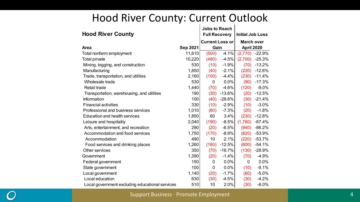|                                                 |                      | <b>Jobs to Reach</b>   |                         |                   |          |  |
|-------------------------------------------------|----------------------|------------------------|-------------------------|-------------------|----------|--|
| <b>Hood River County</b>                        | <b>Full Recovery</b> |                        | <b>Initial Job Loss</b> |                   |          |  |
|                                                 |                      | <b>Current Loss or</b> |                         | <b>March over</b> |          |  |
| Area                                            | <b>Sep 2021</b>      | Gain                   |                         | <b>April 2020</b> |          |  |
| Total nonfarm employment                        | 11.610               | (500)                  | $-4.1%$                 | (2.770)           | $-22.9%$ |  |
| Total private                                   | 10,220               | (480)                  | $-4.5%$                 | (2,700)           | $-25.3%$ |  |
| Mining, logging, and construction               | 530                  | (10)                   | $-1.9%$                 | (70)              | $-13.2%$ |  |
| Manufacturing                                   | 1,850                | (40)                   | $-2.1%$                 | (220)             | $-12.6%$ |  |
| Trade, transportation, and utilities            | 2,160                | (100)                  | $-4.4%$                 | (230)             | $-11.4%$ |  |
| Wholesale trade                                 | 530                  | 0                      | 0.0%                    | (90)              | $-17.3%$ |  |
| Retail trade                                    | 1.440                | (70)                   | $-4.6%$                 | (120)             | $-9.0%$  |  |
| Transportation, warehousing, and utilities      | 190                  | (30)                   | $-13.6%$                | (20)              | $-12.5%$ |  |
| Information                                     | 100                  | (40)                   | $-28.6%$                | (30)              | $-21.4%$ |  |
| <b>Financial activities</b>                     | 330                  | (10)                   | $-2.9%$                 | (10)              | $-3.0%$  |  |
| Professional and business services              | 1,010                | (80)                   | $-7.3%$                 | (20)              | $-1.8%$  |  |
| <b>Education and health services</b>            | 1,850                | 60                     | 3.4%                    | (230)             | $-12.8%$ |  |
| Leisure and hospitality                         | 2,040                | (190)                  | $-8.5%$                 | (1,760)           | $-67.4%$ |  |
| Arts, entertainment, and recreation             | 290                  | (20)                   | $-6.5%$                 | (940)             | $-86.2%$ |  |
| Accommodation and food services                 | 1,750                | (170)                  | $-8.9%$                 | (820)             | -53.9%   |  |
| Accommodation                                   | 490                  | 10                     | 2.1%                    | (220)             | $-53.7%$ |  |
| Food services and drinking places               | 1,260                | (180)                  | $-12.5%$                | (600)             | $-54.1%$ |  |
| Other services                                  | 350                  | (70)                   | $-16.7%$                | (130)             | $-28.9%$ |  |
| Government                                      | 1,390                | (20)                   | $-1.4%$                 | (70)              | $-4.9%$  |  |
| Federal government                              | 150                  | 0                      | $0.0\%$                 | 0                 | 0.0%     |  |
| State government                                | 100                  | 0                      | $0.0\%$                 | (10)              | $-9.1%$  |  |
| Local government                                | 1,140                | (20)                   | $-1.7%$                 | (60)              | $-5.0%$  |  |
| Local education                                 | 630                  | (30)                   | $-4.5%$                 | (30)              | $-4.2%$  |  |
| Local government excluding educational services | 510                  | 10                     | 2.0%                    | (30)              | $-6.0%$  |  |

Support Business ∙ Promote Employment

4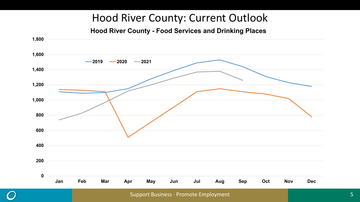**Hood River County - Food Services and Drinking Places**

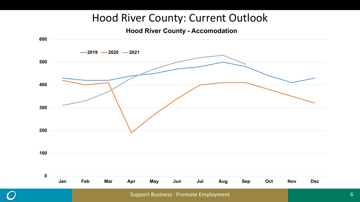**Hood River County - Accomodation**

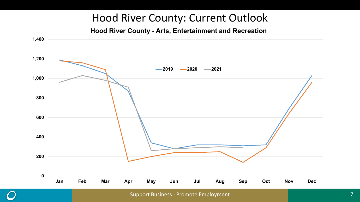**Hood River County - Arts, Entertainment and Recreation**

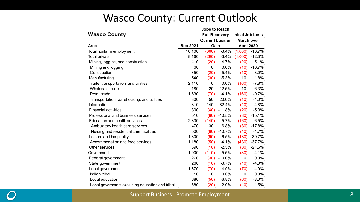#### Wasco County: Current Outlook

|                                                 |                      | <b>Jobs to Reach</b>   |                         |                   |          |  |
|-------------------------------------------------|----------------------|------------------------|-------------------------|-------------------|----------|--|
| <b>Wasco County</b>                             | <b>Full Recovery</b> |                        | <b>Initial Job Loss</b> |                   |          |  |
|                                                 |                      | <b>Current Loss or</b> |                         | <b>March over</b> |          |  |
| Area                                            | Sep 2021             | Gain                   |                         | April 2020        |          |  |
| Total nonfarm employment                        | 10,100               | (360)                  | $-3.4%$                 | (1,080)           | $-10.7%$ |  |
| Total private                                   | 8,160                | (290)                  | $-3.4%$                 | (1,000)           | $-12.3%$ |  |
| Mining, logging, and construction               | 410                  | (20)                   | $-4.7%$                 | (20)              | $-5.1%$  |  |
| Mining and logging                              | 60                   | 0                      | $0.0\%$                 | (10)              | $-16.7%$ |  |
| Construction                                    | 350                  | (20)                   | $-5.4%$                 | (10)              | $-3.0%$  |  |
| Manufacturing                                   | 540                  | (30)                   | $-5.3%$                 | 10                | 1.8%     |  |
| Trade, transportation, and utilities            | 2,110                | 0                      | 0.0%                    | (160)             | $-7.8%$  |  |
| Wholesale trade                                 | 180                  | 20                     | 12.5%                   | 10                | 6.3%     |  |
| Retail trade                                    | 1,630                | (70)                   | $-4.1%$                 | (160)             | $-9.7%$  |  |
| Transportation, warehousing, and utilities      | 300                  | 50                     | 20.0%                   | (10)              | $-4.0%$  |  |
| Information                                     | 310                  | 140                    | 82.4%                   | (10)              | $-4.8%$  |  |
| <b>Financial activities</b>                     | 300                  | (40)                   | $-11.8%$                | (20)              | $-5.9%$  |  |
| Professional and business services              | 510                  | (60)                   | $-10.5%$                | (80)              | $-15.1%$ |  |
| Education and health services                   | 2,330                | (140)                  | $-5.7%$                 | (160)             | $-6.5%$  |  |
| Ambulatory health care services                 | 470                  | 30                     | 6.8%                    | (80)              | $-17.8%$ |  |
| Nursing and residential care facilities         | 500                  | (60)                   | $-10.7%$                | (10)              | $-1.7%$  |  |
| Leisure and hospitality                         | 1,300                | (90)                   | $-6.5%$                 | (480)             | $-39.7%$ |  |
| Accommodation and food services                 | 1,180                | (50)                   | $-4.1%$                 | (430)             | $-37.7%$ |  |
| Other services                                  | 390                  | (10)                   | $-2.5%$                 | (80)              | $-21.6%$ |  |
| Government                                      | 1,900                | (110)                  | $-5.5%$                 | (80)              | $-4.1%$  |  |
| Federal government                              | 270                  | (30)                   | $-10.0%$                | 0                 | 0.0%     |  |
| State government                                | 260                  | (10)                   | $-3.7%$                 | (10)              | $-4.0%$  |  |
| Local government                                | 1,370                | (70)                   | $-4.9%$                 | (70)              | $-4.9%$  |  |
| Indian tribal                                   | 10                   | 0                      | $0.0\%$                 | 0                 | 0.0%     |  |
| Local education                                 | 680                  | (50)                   | $-6.8%$                 | (60)              | $-8.0\%$ |  |
| Local government excluding education and tribal | 680                  | (20)                   | $-2.9%$                 | (10)              | $-1.5%$  |  |

Support Business ∙ Promote Employment

8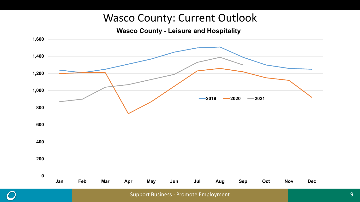#### Wasco County: Current Outlook

**Wasco County - Leisure and Hospitality**

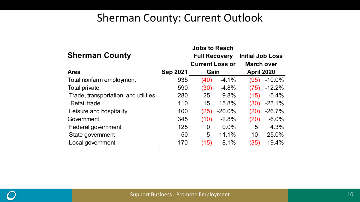#### Sherman County: Current Outlook

| <b>Sherman County</b>                | <b>Jobs to Reach</b><br><b>Full Recovery</b><br><b>Current Loss or</b> |      | <b>Initial Job Loss</b><br><b>March over</b> |                   |          |  |
|--------------------------------------|------------------------------------------------------------------------|------|----------------------------------------------|-------------------|----------|--|
| <b>Area</b>                          | <b>Sep 2021</b>                                                        | Gain |                                              | <b>April 2020</b> |          |  |
| Total nonfarm employment             | 935                                                                    | (40) | $-4.1\%$                                     | (95)              | $-10.0%$ |  |
| Total private                        | 590                                                                    | (30) | $-4.8%$                                      | (75)              | $-12.2%$ |  |
| Trade, transportation, and utilities | 280                                                                    | 25   | $9.8\%$                                      | (15)              | $-5.4%$  |  |
| Retail trade                         | 110                                                                    | 15   | 15.8%                                        | (30)              | $-23.1%$ |  |
| Leisure and hospitality              | 100                                                                    | (25) | $-20.0\%$                                    | (20)              | $-26.7%$ |  |
| Government                           | 345                                                                    | (10) | $-2.8%$                                      | (20)              | $-6.0%$  |  |
| Federal government                   | 125                                                                    | 0    | $0.0\%$                                      | 5                 | 4.3%     |  |
| State government                     | 50                                                                     | 5    | 11.1%                                        | 10                | 25.0%    |  |
| Local government                     | 170                                                                    | (15) | $-8.1\%$                                     | (35)              | $-19.4%$ |  |

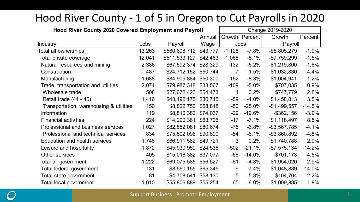### Hood River County - 1 of 5 in Oregon to Cut Payrolls in 2020

| Hood River County 2020 Covered Employment and Payroll |        |               |          | Change 2019-2020 |                |                 |          |
|-------------------------------------------------------|--------|---------------|----------|------------------|----------------|-----------------|----------|
|                                                       |        |               | Annual   |                  | Growth Percent | Growth          | Percent  |
| <b>Industry</b>                                       | Jobs   | Payroll       | Wage     |                  | <b>Jobs</b>    | Payroll         |          |
| Total all ownerships                                  | 13,263 | \$580,608,712 | \$43,777 | $-1,128$         | $-7.8%$        | $-$ \$5,805,279 | $-1.0%$  |
| Total private coverage                                | 12,041 | \$511,533,127 | \$42,483 | $-1,068$         | $-8.1%$        | $-$7,759,299$   | $-1.5%$  |
| Natural resources and mining                          | 2,386  | \$67,592,374  | \$28,329 | $-132$           | $-5.2%$        | $-$1,219,800$   | $-1.8%$  |
| Construction                                          | 487    | \$24,712,152  | \$50,744 | 7                | 1.5%           | \$1,032,830     | 4.4%     |
| Manufacturing                                         | 1,688  | \$84,905,884  | \$50,300 | $-152$           | $-8.3%$        | \$1,004,941     | 1.2%     |
| Trade, transportation and utilities                   | 2,074  | \$79,987,348  | \$38,567 | $-109$           | $-5.0%$        | \$707,035       | 0.9%     |
| Wholesale trade                                       | 508    | \$27,672,423  | \$54,473 | 1                | 0.2%           | \$747,779       | 2.8%     |
| Retail trade (44 - 45)                                | 1,416  | \$43,492,175  | \$30,715 | $-59$            | $-4.0%$        | \$1,458,813     | 3.5%     |
| Transportation, warehousing & utilities               | 150    | \$8,822,750   | \$58,818 | $-50$            | $-25.0%$       | $-$1,499,557$   | $-14.5%$ |
| Information                                           | 119    | \$8,810,382   | \$74,037 | $-29$            | $-19.6%$       | $-$ \$362,156   | $-3.9%$  |
| <b>Financial activities</b>                           | 224    | \$14,290,381  | \$63,796 | $-17$            | $-7.1%$        | \$1,118,497     | 8.5%     |
| Professional and business services                    | 1,027  | \$82,852,081  | \$80,674 | -75              | $-6.8%$        | $-$ \$3,567,785 | $-4.1%$  |
| Professional and technical services                   | 834    | \$75,802,096  | \$90,890 | -54              | $-6.1%$        | -\$3,860,892    | $-4.8%$  |
| Education and health services                         | 1,748  | \$86,911,582  | \$49,721 | 3                | 0.2%           | \$1,740,788     | 2.0%     |
| Leisure and hospitality                               | 1,872  | \$45,930,959  | \$24,536 | $-502$           | $-21.1%$       | $-$7,575,134$   | $-14.2%$ |
| Other services                                        | 405    | \$15,016,382  | \$37,077 | $-66$            | $-14.0%$       | $-$701,173$     | $-4.5%$  |
| Total all government                                  | 1,222  | \$69,075,585  | \$56,527 | $-61$            | $-4.8%$        | \$1,954,020     | 2.9%     |
| Total federal government                              | 131    | \$8,560,155   | \$65,345 | 9                | 7.4%           | \$1,048,839     | 14.0%    |
| Total state government                                | 81     | \$4,708,541   | \$58,130 | -5               | $-5.8%$        | $-$104,704$     | $-2.2%$  |
| Total local government                                | 1,010  | \$55,806,889  | \$55,254 | -65              | $-6.0%$        | \$1,009,885     | 1.8%     |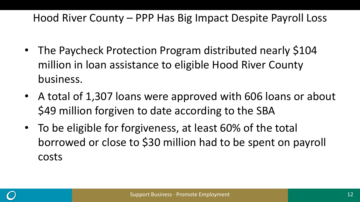#### Hood River County – PPP Has Big Impact Despite Payroll Loss

- The Paycheck Protection Program distributed nearly \$104 million in loan assistance to eligible Hood River County business.
- A total of 1,307 loans were approved with 606 loans or about \$49 million forgiven to date according to the SBA
- To be eligible for forgiveness, at least 60% of the total borrowed or close to \$30 million had to be spent on payroll costs

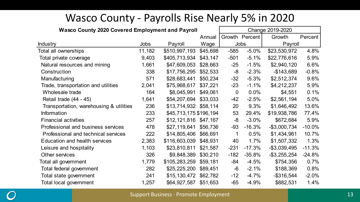#### Wasco County - Payrolls Rise Nearly 5% in 2020

| <b>Wasco County 2020 Covered Employment and Payroll</b> |             |                        | Change 2019-2020 |             |                |                 |          |
|---------------------------------------------------------|-------------|------------------------|------------------|-------------|----------------|-----------------|----------|
|                                                         |             |                        | Annual           |             | Growth Percent | Growth          | Percent  |
| <b>Industry</b>                                         | <b>Jobs</b> | Payroll                | Wage             |             | <b>Jobs</b>    | Payroll         |          |
| Total all ownerships                                    | 11,182      | \$510,997,193          | \$45,698         | $-585$      | $-5.0%$        | \$23,530,972    | 4.8%     |
| Total private coverage                                  | 9,403       | \$405,713,934          | \$43,147         | $-501$      | $-5.1%$        | \$22,776,616    | 5.9%     |
| Natural resources and mining                            | 1,661       | \$47,609,053           | \$28,663         | $-25$       | $-1.5%$        | \$2,940,120     | 6.6%     |
| Construction                                            | 338         | \$17,756,295           | \$52,533         | -8          | $-2.3%$        | $-$143,689$     | $-0.8%$  |
| Manufacturing                                           | 571         | \$28,683,441           | \$50,234         | $-32$       | $-5.3%$        | \$2,512,374     | 9.6%     |
| Trade, transportation and utilities                     | 2,041       | \$75,968,617           | \$37,221         | $-23$       | $-1.1%$        | \$4,212,237     | 5.9%     |
| Wholesale trade                                         | 164         | \$8,045,991            | \$49,061         | $\mathbf 0$ | 0.0%           | \$4,551         | 0.1%     |
| Retail trade (44 - 45)                                  | 1,641       | \$54,207,694           | \$33,033         | -42         | $-2.5%$        | \$2,561,194     | 5.0%     |
| Transportation, warehousing & utilities                 | 236         | \$13,714,932           | \$58,114         | 20          | 9.3%           | \$1,646,492     | 13.6%    |
| Information                                             | 233         | \$45,713,175 \$196,194 |                  | 53          | 29.4%          | \$19,938,786    | 77.4%    |
| <b>Financial activities</b>                             | 257         | \$12,121,816           | \$47,167         | -8          | $-3.0%$        | \$672,684       | 5.9%     |
| Professional and business services                      | 478         | \$27,119,641           | \$56,736         | $-93$       | $-16.3%$       | $-$3,000,734$   | $-10.0%$ |
| Professional and technical services                     | 222         | \$14,805,406           | \$66,691         | 1           | 0.5%           | \$1,434,961     | 10.7%    |
| <b>Education and health services</b>                    | 2,383       | \$116,603,039          | \$48,931         | 40          | 1.7%           | \$1,507,332     | 1.3%     |
| Leisure and hospitality                                 | 1,103       | \$23,810,811           | \$21,587         | $-231$      | $-17.3%$       | $-$3,039,495$   | $-11.3%$ |
| Other services                                          | 326         | \$9,848,389            | \$30,210         | $-182$      | $-35.8%$       | $-$ \$3,255,254 | $-24.8%$ |
| Total all government                                    | 1,779       | \$105,283,259          | \$59,181         | -84         | $-4.5%$        | \$754,356       | 0.7%     |
| Total federal government                                | 282         | \$25,225,200           | \$89,451         | -6          | $-2.1%$        | \$188,369       | 0.8%     |
| Total state government                                  | 241         | \$15,130,472           | \$62,782         | -12         | $-4.7%$        | $-$ \$316,544   | $-2.0\%$ |
| Total local government                                  | 1,257       | \$64,927,587           | \$51,653         | -65         | $-4.9%$        | \$882,531       | 1.4%     |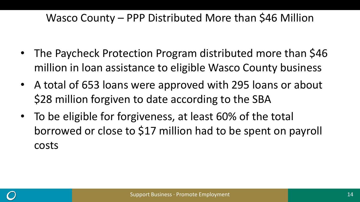#### Wasco County – PPP Distributed More than \$46 Million

- The Paycheck Protection Program distributed more than \$46 million in loan assistance to eligible Wasco County business
- A total of 653 loans were approved with 295 loans or about \$28 million forgiven to date according to the SBA
- To be eligible for forgiveness, at least 60% of the total borrowed or close to \$17 million had to be spent on payroll costs

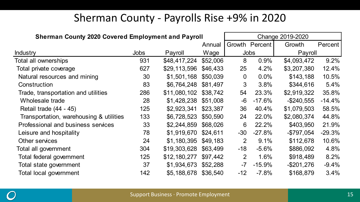### Sherman County - Payrolls Rise +9% in 2020

| <b>Sherman County 2020 Covered Employment and Payroll</b> |             |              |          |                |                | Change 2019-2020 |          |
|-----------------------------------------------------------|-------------|--------------|----------|----------------|----------------|------------------|----------|
|                                                           |             |              | Annual   |                | Growth Percent | Growth           | Percent  |
| <b>Industry</b>                                           | <b>Jobs</b> | Payroll      | Wage     |                | <b>Jobs</b>    | Payroll          |          |
| Total all ownerships                                      | 931         | \$48,417,224 | \$52,006 | 8              | 0.9%           | \$4,093,472      | 9.2%     |
| Total private coverage                                    | 627         | \$29,113,596 | \$46,433 | 25             | 4.2%           | \$3,207,380      | 12.4%    |
| Natural resources and mining                              | 30          | \$1,501,168  | \$50,039 | $\mathbf 0$    | 0.0%           | \$143,188        | 10.5%    |
| Construction                                              | 83          | \$6,764,248  | \$81,497 | 3              | 3.8%           | \$344,616        | 5.4%     |
| Trade, transportation and utilities                       | 286         | \$11,080,102 | \$38,742 | 54             | 23.3%          | \$2,919,322      | 35.8%    |
| Wholesale trade                                           | 28          | \$1,428,238  | \$51,008 | -6             | $-17.6%$       | $-$ \$240,555    | $-14.4%$ |
| Retail trade (44 - 45)                                    | 125         | \$2,923,341  | \$23,387 | 36             | 40.4%          | \$1,079,503      | 58.5%    |
| Transportation, warehousing & utilities                   | 133         | \$6,728,523  | \$50,590 | 24             | 22.0%          | \$2,080,374      | 44.8%    |
| Professional and business services                        | 33          | \$2,244,859  | \$68,026 | 6              | 22.2%          | \$403,950        | 21.9%    |
| Leisure and hospitality                                   | 78          | \$1,919,670  | \$24,611 | $-30$          | $-27.8%$       | $-$797,054$      | $-29.3%$ |
| Other services                                            | 24          | \$1,180,395  | \$49,183 | $\overline{2}$ | 9.1%           | \$112,678        | 10.6%    |
| Total all government                                      | 304         | \$19,303,628 | \$63,499 | $-18$          | $-5.6%$        | \$886,092        | 4.8%     |
| Total federal government                                  | 125         | \$12,180,277 | \$97,442 | 2              | 1.6%           | \$918,489        | 8.2%     |
| Total state government                                    | 37          | \$1,934,673  | \$52,288 | -7             | $-15.9%$       | $-$201,276$      | $-9.4%$  |
| Total local government                                    | 142         | \$5,188,678  | \$36,540 | $-12$          | $-7.8%$        | \$168,879        | 3.4%     |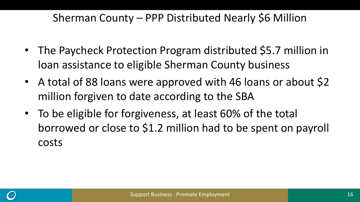### Sherman County – PPP Distributed Nearly \$6 Million

- The Paycheck Protection Program distributed \$5.7 million in loan assistance to eligible Sherman County business
- A total of 88 loans were approved with 46 loans or about \$2 million forgiven to date according to the SBA
- To be eligible for forgiveness, at least 60% of the total borrowed or close to \$1.2 million had to be spent on payroll costs

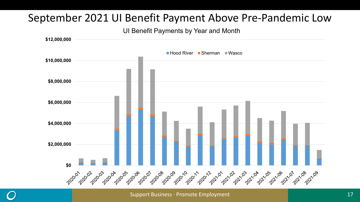#### September 2021 UI Benefit Payment Above Pre-Pandemic Low

#### UI Benefit Payments by Year and Month



Support Business ∙ Promote Employment 17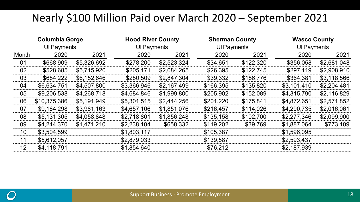#### Nearly \$100 Million Paid over March 2020 – September 2021

|       | <b>Columbia Gorge</b> |             | <b>Hood River County</b> |             | <b>Sherman County</b> |           | <b>Wasco County</b> |             |  |
|-------|-----------------------|-------------|--------------------------|-------------|-----------------------|-----------|---------------------|-------------|--|
|       | UI Payments           |             | Ul Payments              |             | <b>UI Payments</b>    |           |                     | Ul Payments |  |
| Month | 2020                  | 2021        | 2020                     | 2021        | 2020                  | 2021      | 2020                | 2021        |  |
| 01    | \$668,909             | \$5,326,692 | \$278,200                | \$2,523,324 | \$34,651              | \$122,320 | \$356,058           | \$2,681,048 |  |
| 02    | \$528,685             | \$5,715,920 | \$205,171                | \$2,684,265 | \$26,395              | \$122,745 | \$297,119           | \$2,908,910 |  |
| 03    | \$684,222             | \$6,152,646 | \$280,509                | \$2,847,304 | \$39,332              | \$186,776 | \$364,381           | \$3,118,566 |  |
| 04    | \$6,634,751           | \$4,507,800 | \$3,366,946              | \$2,167,499 | \$166,395             | \$135,820 | \$3,101,410         | \$2,204,481 |  |
| 05    | \$9,206,538           | \$4,268,718 | \$4,684,846              | \$1,999,800 | \$205,902             | \$152,089 | \$4,315,790         | \$2,116,829 |  |
| 06    | \$10,375,386          | \$5,191,949 | \$5,301,515              | \$2,444,256 | \$201,220             | \$175,841 | \$4,872,651         | \$2,571,852 |  |
| 07    | \$9,164,298           | \$3,981,163 | \$4,657,106              | \$1,851,076 | \$216,457             | \$114,026 | \$4,290,735         | \$2,016,061 |  |
| 08    | \$5,131,305           | \$4,058,848 | \$2,718,801              | \$1,856,248 | \$135,158             | \$102,700 | \$2,277,346         | \$2,099,900 |  |
| 09    | \$4,244,370           | \$1,471,210 | \$2,238,104              | \$658,332   | \$119,202             | \$39,769  | \$1,887,064         | \$773,109   |  |
| 10    | \$3,504,599           |             | \$1,803,117              |             | \$105,387             |           | \$1,596,095         |             |  |
| 11    | \$5,612,057           |             | \$2,879,033              |             | \$139,587             |           | \$2,593,437         |             |  |
| 12    | \$4,118,791           |             | \$1,854,640              |             | \$76,212              |           | \$2,187,939         |             |  |

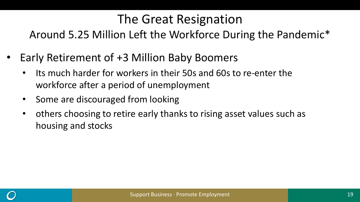### The Great Resignation

Around 5.25 Million Left the Workforce During the Pandemic\*

- Early Retirement of +3 Million Baby Boomers
	- Its much harder for workers in their 50s and 60s to re-enter the workforce after a period of unemployment
	- Some are discouraged from looking
	- others choosing to retire early thanks to rising asset values such as housing and stocks

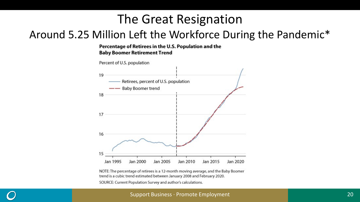### The Great Resignation

#### Around 5.25 Million Left the Workforce During the Pandemic\*

#### Percentage of Retirees in the U.S. Population and the **Baby Boomer Retirement Trend**



NOTE: The percentage of retirees is a 12-month moving average, and the Baby Boomer trend is a cubic trend estimated between January 2008 and February 2020. SOURCE: Current Population Survey and author's calculations.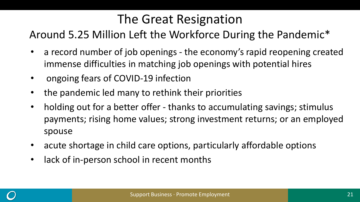## The Great Resignation

#### Around 5.25 Million Left the Workforce During the Pandemic\*

- a record number of job openings the economy's rapid reopening created immense difficulties in matching job openings with potential hires
- ongoing fears of COVID-19 infection
- the pandemic led many to rethink their priorities
- holding out for a better offer thanks to accumulating savings; stimulus payments; rising home values; strong investment returns; or an employed spouse
- acute shortage in child care options, particularly affordable options
- lack of in-person school in recent months